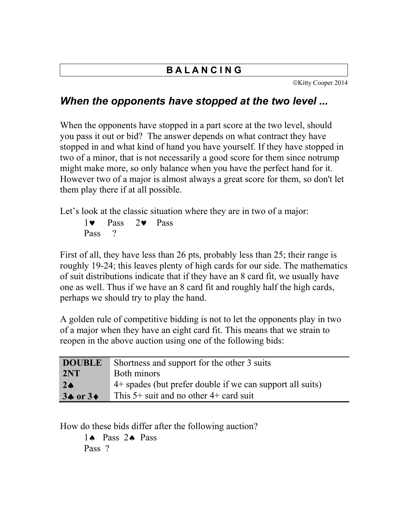## **B A L A N C I N G**

©Kitty Cooper 2014

## *When the opponents have stopped at the two level ...*

When the opponents have stopped in a part score at the two level, should you pass it out or bid? The answer depends on what contract they have stopped in and what kind of hand you have yourself. If they have stopped in two of a minor, that is not necessarily a good score for them since notrump might make more, so only balance when you have the perfect hand for it. However two of a major is almost always a great score for them, so don't let them play there if at all possible.

Let's look at the classic situation where they are in two of a major:

 $1 \bullet$  Pass  $2 \bullet$  Pass Pass ?

First of all, they have less than 26 pts, probably less than 25; their range is roughly 19-24; this leaves plenty of high cards for our side. The mathematics of suit distributions indicate that if they have an 8 card fit, we usually have one as well. Thus if we have an 8 card fit and roughly half the high cards, perhaps we should try to play the hand.

A golden rule of competitive bidding is not to let the opponents play in two of a major when they have an eight card fit. This means that we strain to reopen in the above auction using one of the following bids:

| <b>DOUBLE</b> | Shortness and support for the other 3 suits               |
|---------------|-----------------------------------------------------------|
| 2NT           | Both minors                                               |
| $2\spadesuit$ | 4+ spades (but prefer double if we can support all suits) |
| $3 + 0r3 +$   | This $5+$ suit and no other $4+$ card suit                |

How do these bids differ after the following auction?

1<sup>A</sup> Pass 2<sup>A</sup> Pass Pass ?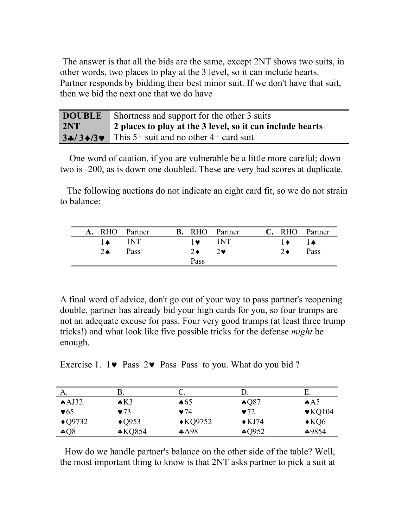The answer is that all the bids are the same, except 2NT shows two suits, in other words, two places to play at the 3 level, so it can include hearts. Partner responds by bidding their best minor suit. If we don't have that suit, then we bid the next one that we do have

| <b>DOUBLE</b> | Shortness and support for the other 3 suits               |
|---------------|-----------------------------------------------------------|
| 2NT           | 2 places to play at the 3 level, so it can include hearts |
| $3 + 3 + 3$   | This 5+ suit and no other 4+ card suit                    |

 One word of caution, if you are vulnerable be a little more careful; down two is -200, as is down one doubled. These are very bad scores at duplicate.

 The following auctions do not indicate an eight card fit, so we do not strain to balance:

|                | A. RHO Partner |                         | <b>B.</b> RHO Partner |                             | C. RHO Partner |
|----------------|----------------|-------------------------|-----------------------|-----------------------------|----------------|
| $1\bullet$ 1NT |                | $1\bullet$ $1\text{NT}$ |                       | $\rightarrow$ $\rightarrow$ |                |
| $2 \spadesuit$ | Pass           | $2 \bullet$             | $2\bullet$            | $2 \bullet$                 | Pass           |
|                |                | Pass                    |                       |                             |                |

A final word of advice, don't go out of your way to pass partner's reopening double, partner has already bid your high cards for you, so four trumps are not an adequate excuse for pass. Four very good trumps (at least three trump tricks!) and what look like five possible tricks for the defense *might* be enough.

Exercise 1.  $1 \bullet$  Pass  $2 \bullet$  Pass Pass to you. What do you bid ?

| А.                      | В.                      |                    |                         | Е.                         |
|-------------------------|-------------------------|--------------------|-------------------------|----------------------------|
| AJ32                    | $\triangle$ K3          | $\clubsuit 65$     | $\triangle$ Q87         | AA5                        |
| $\blacktriangledown 65$ | $\blacktriangledown$ 73 | $\bullet$ 74       | $\blacktriangledown$ 72 | $\blacktriangledown$ KQ104 |
| $\triangle$ Q9732       | $\triangle$ Q953        | $\triangle$ KQ9752 | $\triangle$ KJ74        | $\triangle$ KQ6            |
| $\clubsuit Q8$          | $*KQ854$                | A98                | $\clubsuit$ Q952        | $*9854$                    |

 How do we handle partner's balance on the other side of the table? Well, the most important thing to know is that 2NT asks partner to pick a suit at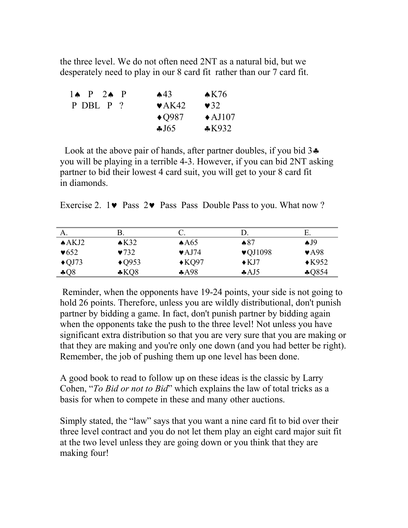the three level. We do not often need 2NT as a natural bid, but we desperately need to play in our 8 card fit rather than our 7 card fit.

| $1 \spadesuit$ P $2 \spadesuit$ P | $\triangle 43$             | $\triangle$ K76   |
|-----------------------------------|----------------------------|-------------------|
| P DBL P ?                         | $\blacktriangleright$ AK42 | $\bullet$ 32      |
|                                   | $\triangle$ Q987           | $\triangle$ AJ107 |
|                                   | J65                        | $*K932$           |

Look at the above pair of hands, after partner doubles, if you bid  $3\clubsuit$ you will be playing in a terrible 4-3. However, if you can bid 2NT asking partner to bid their lowest 4 card suit, you will get to your 8 card fit in diamonds.

|  |  |  |  |  |  | Exercise 2. $1\blacktriangleright$ Pass $2\blacktriangleright$ Pass Pass Double Pass to you. What now ? |  |  |
|--|--|--|--|--|--|---------------------------------------------------------------------------------------------------------|--|--|
|--|--|--|--|--|--|---------------------------------------------------------------------------------------------------------|--|--|

| A.                       |                          |                            |                              | E                        |
|--------------------------|--------------------------|----------------------------|------------------------------|--------------------------|
| $A$ AKJ2                 | $\triangle$ K32          | AA65                       | $\clubsuit 87$               | $\triangle$ J9           |
| $\blacktriangledown 652$ | $\blacktriangledown$ 732 | $\blacktriangleright$ AJ74 | $\blacktriangledown$ VQJ1098 | $\blacktriangledown$ A98 |
| $\triangle$ QJ73         | $\triangle$ Q953         | $\triangle$ KQ97           | $\triangle$ KJ7              | $\triangle$ K952         |
| $-0.08$                  | $*KQ8$                   | A98                        | A <sub>4</sub>               | \$Q854                   |

 Reminder, when the opponents have 19-24 points, your side is not going to hold 26 points. Therefore, unless you are wildly distributional, don't punish partner by bidding a game. In fact, don't punish partner by bidding again when the opponents take the push to the three level! Not unless you have significant extra distribution so that you are very sure that you are making or that they are making and you're only one down (and you had better be right). Remember, the job of pushing them up one level has been done.

A good book to read to follow up on these ideas is the classic by Larry Cohen, "*To Bid or not to Bid*" which explains the law of total tricks as a basis for when to compete in these and many other auctions.

Simply stated, the "law" says that you want a nine card fit to bid over their three level contract and you do not let them play an eight card major suit fit at the two level unless they are going down or you think that they are making four!